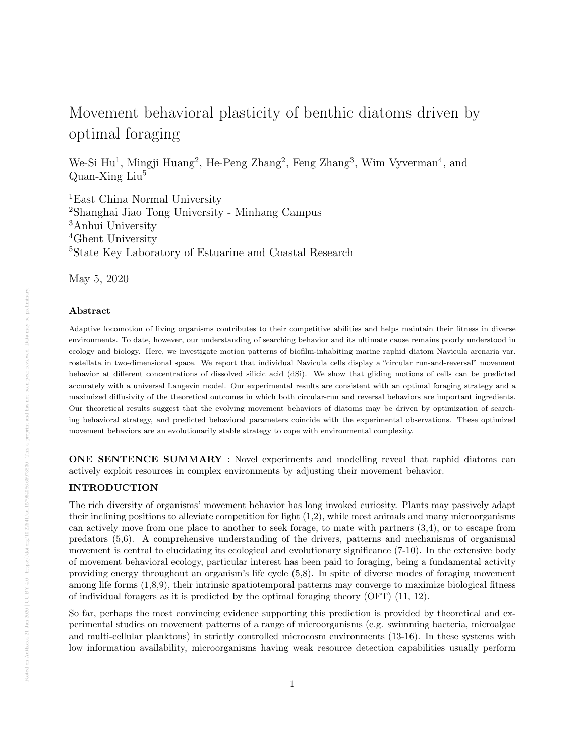# Movement behavioral plasticity of benthic diatoms driven by optimal foraging

We-Si Hu<sup>1</sup>, Mingji Huang<sup>2</sup>, He-Peng Zhang<sup>2</sup>, Feng Zhang<sup>3</sup>, Wim Vyverman<sup>4</sup>, and Quan-Xing Liu<sup>5</sup>

East China Normal University Shanghai Jiao Tong University - Minhang Campus Anhui University Ghent University State Key Laboratory of Estuarine and Coastal Research

May 5, 2020

# Abstract

Adaptive locomotion of living organisms contributes to their competitive abilities and helps maintain their fitness in diverse environments. To date, however, our understanding of searching behavior and its ultimate cause remains poorly understood in ecology and biology. Here, we investigate motion patterns of biofilm-inhabiting marine raphid diatom Navicula arenaria var. rostellata in two-dimensional space. We report that individual Navicula cells display a "circular run-and-reversal" movement behavior at different concentrations of dissolved silicic acid (dSi). We show that gliding motions of cells can be predicted accurately with a universal Langevin model. Our experimental results are consistent with an optimal foraging strategy and a maximized diffusivity of the theoretical outcomes in which both circular-run and reversal behaviors are important ingredients. Our theoretical results suggest that the evolving movement behaviors of diatoms may be driven by optimization of searching behavioral strategy, and predicted behavioral parameters coincide with the experimental observations. These optimized movement behaviors are an evolutionarily stable strategy to cope with environmental complexity.

ONE SENTENCE SUMMARY : Novel experiments and modelling reveal that raphid diatoms can actively exploit resources in complex environments by adjusting their movement behavior.

# INTRODUCTION

The rich diversity of organisms' movement behavior has long invoked curiosity. Plants may passively adapt their inclining positions to alleviate competition for light (1,2), while most animals and many microorganisms can actively move from one place to another to seek forage, to mate with partners (3,4), or to escape from predators (5,6). A comprehensive understanding of the drivers, patterns and mechanisms of organismal movement is central to elucidating its ecological and evolutionary significance (7-10). In the extensive body of movement behavioral ecology, particular interest has been paid to foraging, being a fundamental activity providing energy throughout an organism's life cycle (5,8). In spite of diverse modes of foraging movement among life forms (1,8,9), their intrinsic spatiotemporal patterns may converge to maximize biological fitness of individual foragers as it is predicted by the optimal foraging theory (OFT) (11, 12).

So far, perhaps the most convincing evidence supporting this prediction is provided by theoretical and experimental studies on movement patterns of a range of microorganisms (e.g. swimming bacteria, microalgae and multi-cellular planktons) in strictly controlled microcosm environments (13-16). In these systems with low information availability, microorganisms having weak resource detection capabilities usually perform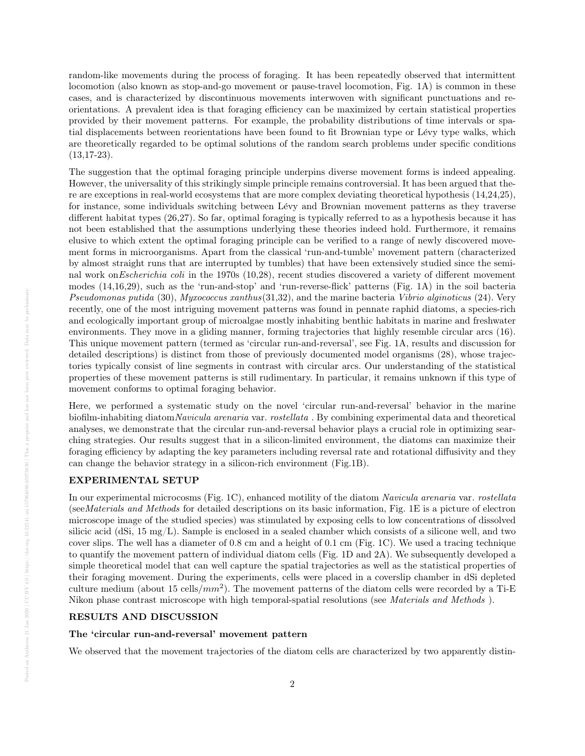random-like movements during the process of foraging. It has been repeatedly observed that intermittent locomotion (also known as stop-and-go movement or pause-travel locomotion, Fig. 1A) is common in these cases, and is characterized by discontinuous movements interwoven with significant punctuations and reorientations. A prevalent idea is that foraging efficiency can be maximized by certain statistical properties provided by their movement patterns. For example, the probability distributions of time intervals or spatial displacements between reorientations have been found to fit Brownian type or L´evy type walks, which are theoretically regarded to be optimal solutions of the random search problems under specific conditions  $(13, 17-23)$ .

The suggestion that the optimal foraging principle underpins diverse movement forms is indeed appealing. However, the universality of this strikingly simple principle remains controversial. It has been argued that there are exceptions in real-world ecosystems that are more complex deviating theoretical hypothesis (14,24,25), for instance, some individuals switching between Lévy and Brownian movement patterns as they traverse different habitat types (26,27). So far, optimal foraging is typically referred to as a hypothesis because it has not been established that the assumptions underlying these theories indeed hold. Furthermore, it remains elusive to which extent the optimal foraging principle can be verified to a range of newly discovered movement forms in microorganisms. Apart from the classical 'run-and-tumble' movement pattern (characterized by almost straight runs that are interrupted by tumbles) that have been extensively studied since the seminal work onEscherichia coli in the 1970s (10,28), recent studies discovered a variety of different movement modes (14,16,29), such as the 'run-and-stop' and 'run-reverse-flick' patterns (Fig. 1A) in the soil bacteria Pseudomonas putida (30), Myxococcus xanthus(31,32), and the marine bacteria Vibrio alginoticus (24). Very recently, one of the most intriguing movement patterns was found in pennate raphid diatoms, a species-rich and ecologically important group of microalgae mostly inhabiting benthic habitats in marine and freshwater environments. They move in a gliding manner, forming trajectories that highly resemble circular arcs (16). This unique movement pattern (termed as 'circular run-and-reversal', see Fig. 1A, results and discussion for detailed descriptions) is distinct from those of previously documented model organisms (28), whose trajectories typically consist of line segments in contrast with circular arcs. Our understanding of the statistical properties of these movement patterns is still rudimentary. In particular, it remains unknown if this type of movement conforms to optimal foraging behavior.

Here, we performed a systematic study on the novel 'circular run-and-reversal' behavior in the marine biofilm-inhabiting diatomNavicula arenaria var. rostellata . By combining experimental data and theoretical analyses, we demonstrate that the circular run-and-reversal behavior plays a crucial role in optimizing searching strategies. Our results suggest that in a silicon-limited environment, the diatoms can maximize their foraging efficiency by adapting the key parameters including reversal rate and rotational diffusivity and they can change the behavior strategy in a silicon-rich environment (Fig.1B).

## EXPERIMENTAL SETUP

In our experimental microcosms (Fig. 1C), enhanced motility of the diatom Navicula arenaria var. rostellata (seeMaterials and Methods for detailed descriptions on its basic information, Fig. 1E is a picture of electron microscope image of the studied species) was stimulated by exposing cells to low concentrations of dissolved silicic acid (dSi, 15 mg/L). Sample is enclosed in a sealed chamber which consists of a silicone well, and two cover slips. The well has a diameter of 0.8 cm and a height of 0.1 cm (Fig. 1C). We used a tracing technique to quantify the movement pattern of individual diatom cells (Fig. 1D and 2A). We subsequently developed a simple theoretical model that can well capture the spatial trajectories as well as the statistical properties of their foraging movement. During the experiments, cells were placed in a coverslip chamber in dSi depleted culture medium (about 15 cells/ $mm^2$ ). The movement patterns of the diatom cells were recorded by a Ti-E Nikon phase contrast microscope with high temporal-spatial resolutions (see Materials and Methods ).

## RESULTS AND DISCUSSION

#### The 'circular run-and-reversal' movement pattern

We observed that the movement trajectories of the diatom cells are characterized by two apparently distin-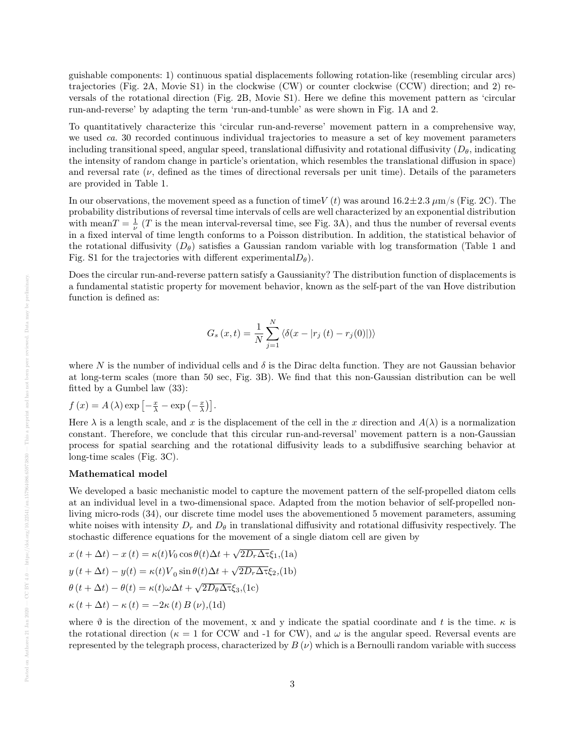guishable components: 1) continuous spatial displacements following rotation-like (resembling circular arcs) trajectories (Fig. 2A, Movie S1) in the clockwise (CW) or counter clockwise (CCW) direction; and 2) reversals of the rotational direction (Fig. 2B, Movie S1). Here we define this movement pattern as 'circular run-and-reverse' by adapting the term 'run-and-tumble' as were shown in Fig. 1A and 2.

To quantitatively characterize this 'circular run-and-reverse' movement pattern in a comprehensive way, we used ca. 30 recorded continuous individual trajectories to measure a set of key movement parameters including transitional speed, angular speed, translational diffusivity and rotational diffusivity  $(D_\theta)$ , indicating the intensity of random change in particle's orientation, which resembles the translational diffusion in space) and reversal rate  $(\nu)$ , defined as the times of directional reversals per unit time). Details of the parameters are provided in Table 1.

In our observations, the movement speed as a function of time V (t) was around  $16.2 \pm 2.3 \ \mu m/s$  (Fig. 2C). The probability distributions of reversal time intervals of cells are well characterized by an exponential distribution with mean  $T = \frac{1}{\nu}$  (T is the mean interval-reversal time, see Fig. 3A), and thus the number of reversal events in a fixed interval of time length conforms to a Poisson distribution. In addition, the statistical behavior of the rotational diffusivity  $(D_\theta)$  satisfies a Gaussian random variable with log transformation (Table 1 and Fig. S1 for the trajectories with different experimental  $D_{\theta}$ ).

Does the circular run-and-reverse pattern satisfy a Gaussianity? The distribution function of displacements is a fundamental statistic property for movement behavior, known as the self-part of the van Hove distribution function is defined as:

$$
G_s(x,t) = \frac{1}{N} \sum_{j=1}^{N} \langle \delta(x - |r_j(t) - r_j(0)|) \rangle
$$

where N is the number of individual cells and  $\delta$  is the Dirac delta function. They are not Gaussian behavior at long-term scales (more than 50 sec, Fig. 3B). We find that this non-Gaussian distribution can be well fitted by a Gumbel law (33):

$$
f(x) = A(\lambda) \exp \left[ -\frac{x}{\lambda} - \exp \left( -\frac{x}{\lambda} \right) \right].
$$

Here  $\lambda$  is a length scale, and x is the displacement of the cell in the x direction and  $A(\lambda)$  is a normalization constant. Therefore, we conclude that this circular run-and-reversal' movement pattern is a non-Gaussian process for spatial searching and the rotational diffusivity leads to a subdiffusive searching behavior at long-time scales (Fig. 3C).

### Mathematical model

We developed a basic mechanistic model to capture the movement pattern of the self-propelled diatom cells at an individual level in a two-dimensional space. Adapted from the motion behavior of self-propelled nonliving micro-rods (34), our discrete time model uses the abovementioned 5 movement parameters, assuming white noises with intensity  $D_r$  and  $D_\theta$  in translational diffusivity and rotational diffusivity respectively. The stochastic difference equations for the movement of a single diatom cell are given by

$$
x(t + \Delta t) - x(t) = \kappa(t)V_0 \cos \theta(t)\Delta t + \sqrt{2D_r\Delta \tau} \xi_1
$$
\n
$$
(1a)
$$
\n
$$
y(t + \Delta t) - y(t) = \kappa(t)V_0 \sin \theta(t)\Delta t + \sqrt{2D_r\Delta \tau} \xi_2
$$
\n
$$
(1b)
$$
\n
$$
\theta(t + \Delta t) - \theta(t) = \kappa(t)\omega\Delta t + \sqrt{2D_\theta\Delta \tau} \xi_3
$$
\n
$$
(1c)
$$
\n
$$
\kappa(t + \Delta t) - \kappa(t) = -2\kappa(t)B(\nu)
$$
\n
$$
(1d)
$$

where  $\vartheta$  is the direction of the movement, x and y indicate the spatial coordinate and t is the time.  $\kappa$  is the rotational direction ( $\kappa = 1$  for CCW and -1 for CW), and  $\omega$  is the angular speed. Reversal events are represented by the telegraph process, characterized by  $B(\nu)$  which is a Bernoulli random variable with success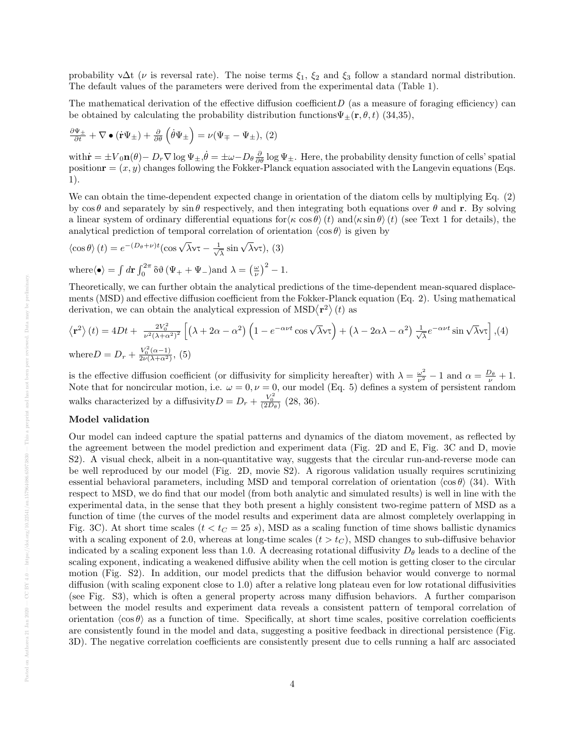probability  $\sqrt{\Delta t}$  ( $\nu$  is reversal rate). The noise terms  $\xi_1$ ,  $\xi_2$  and  $\xi_3$  follow a standard normal distribution. The default values of the parameters were derived from the experimental data (Table 1).

The mathematical derivation of the effective diffusion coefficient  $D$  (as a measure of foraging efficiency) can be obtained by calculating the probability distribution functions  $\Psi_{\pm}(\mathbf{r}, \theta, t)$  (34,35),

$$
\frac{\partial \Psi_{\pm}}{\partial t} + \nabla \bullet (\dot{\mathbf{r}} \Psi_{\pm}) + \frac{\partial}{\partial \theta} (\dot{\theta} \Psi_{\pm}) = \nu (\Psi_{\mp} - \Psi_{\pm}), (2)
$$

with  $\dot{\mathbf{r}} = \pm V_0 \mathbf{n}(\theta) - D_r \nabla \log \Psi_{\pm}, \dot{\theta} = \pm \omega - D_\theta \frac{\partial}{\partial \theta} \log \Psi_{\pm}.$  Here, the probability density function of cells' spatial position  $\mathbf{r} = (x, y)$  changes following the Fokker-Planck equation associated with the Langevin equations (Eqs.) 1).

We can obtain the time-dependent expected change in orientation of the diatom cells by multiplying Eq. (2) by  $\cos \theta$  and separately by  $\sin \theta$  respectively, and then integrating both equations over  $\theta$  and r. By solving a linear system of ordinary differential equations for  $\langle \kappa \cos \theta \rangle(t)$  and  $\langle \kappa \sin \theta \rangle(t)$  (see Text 1 for details), the analytical prediction of temporal correlation of orientation  $\langle \cos \theta \rangle$  is given by

$$
\langle \cos \theta \rangle (t) = e^{-(D_{\theta} + \nu)t} (\cos \sqrt{\lambda} \nu \tau - \frac{1}{\sqrt{\lambda}} \sin \sqrt{\lambda} \nu \tau), (3)
$$
  
where $\langle \bullet \rangle = \int d\mathbf{r} \int_0^{2\pi} \delta \vartheta (\Psi_+ + \Psi_-) \text{ and } \lambda = \left(\frac{\omega}{\nu}\right)^2 - 1.$ 

Theoretically, we can further obtain the analytical predictions of the time-dependent mean-squared displacements (MSD) and effective diffusion coefficient from the Fokker-Planck equation (Eq. 2). Using mathematical derivation, we can obtain the analytical expression of  $\text{MSD}\langle \mathbf{r}^2 \rangle (t)$  as

$$
\langle \mathbf{r}^2 \rangle (t) = 4Dt + \frac{2V_0^2}{\nu^2 (\lambda + \alpha^2)^2} \left[ \left( \lambda + 2\alpha - \alpha^2 \right) \left( 1 - e^{-\alpha \nu t} \cos \sqrt{\lambda} \nu \tau \right) + \left( \lambda - 2\alpha \lambda - \alpha^2 \right) \frac{1}{\sqrt{\lambda}} e^{-\alpha \nu t} \sin \sqrt{\lambda} \nu \tau \right], (4)
$$
  
where  $D = D_r + \frac{V_0^2 (\alpha - 1)}{2\nu (\lambda + \alpha^2)}$ , (5)

is the effective diffusion coefficient (or diffusivity for simplicity hereafter) with  $\lambda = \frac{\omega^2}{\nu^2} - 1$  and  $\alpha = \frac{D_\theta}{\nu} + 1$ . Note that for noncircular motion, i.e.  $\omega = 0$ ,  $\nu = 0$ , our model (Eq. 5) defines a system of persistent random walks characterized by a diffusivity  $D = D_r + \frac{V_0^2}{(2D_\theta)}$  (28, 36).

# Model validation

Our model can indeed capture the spatial patterns and dynamics of the diatom movement, as reflected by the agreement between the model prediction and experiment data (Fig. 2D and E, Fig. 3C and D, movie S2). A visual check, albeit in a non-quantitative way, suggests that the circular run-and-reverse mode can be well reproduced by our model (Fig. 2D, movie S2). A rigorous validation usually requires scrutinizing essential behavioral parameters, including MSD and temporal correlation of orientation  $\langle \cos \theta \rangle$  (34). With respect to MSD, we do find that our model (from both analytic and simulated results) is well in line with the experimental data, in the sense that they both present a highly consistent two-regime pattern of MSD as a function of time (the curves of the model results and experiment data are almost completely overlapping in Fig. 3C). At short time scales ( $t < t<sub>C</sub> = 25 s$ ), MSD as a scaling function of time shows ballistic dynamics with a scaling exponent of 2.0, whereas at long-time scales  $(t > t_C)$ , MSD changes to sub-diffusive behavior indicated by a scaling exponent less than 1.0. A decreasing rotational diffusivity  $D_{\theta}$  leads to a decline of the scaling exponent, indicating a weakened diffusive ability when the cell motion is getting closer to the circular motion (Fig. S2). In addition, our model predicts that the diffusion behavior would converge to normal diffusion (with scaling exponent close to 1.0) after a relative long plateau even for low rotational diffusivities (see Fig. S3), which is often a general property across many diffusion behaviors. A further comparison between the model results and experiment data reveals a consistent pattern of temporal correlation of orientation  $\langle \cos \theta \rangle$  as a function of time. Specifically, at short time scales, positive correlation coefficients are consistently found in the model and data, suggesting a positive feedback in directional persistence (Fig. 3D). The negative correlation coefficients are consistently present due to cells running a half arc associated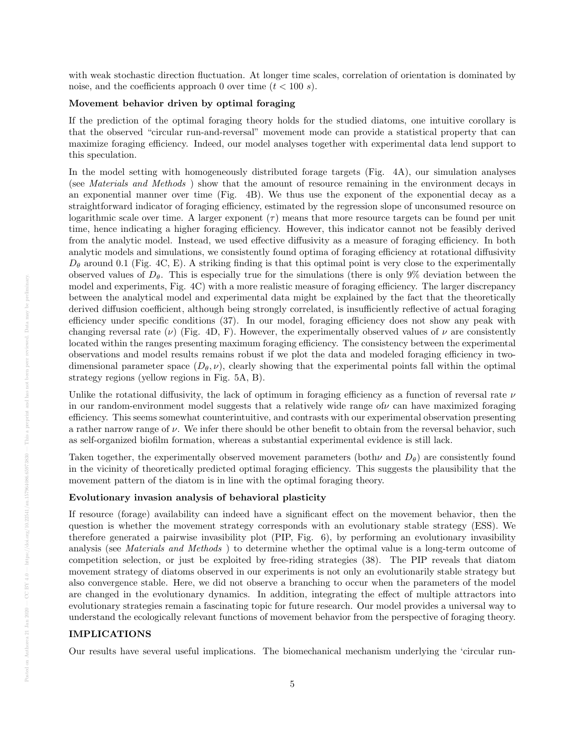with weak stochastic direction fluctuation. At longer time scales, correlation of orientation is dominated by noise, and the coefficients approach 0 over time  $(t < 100 s)$ .

#### Movement behavior driven by optimal foraging

If the prediction of the optimal foraging theory holds for the studied diatoms, one intuitive corollary is that the observed "circular run-and-reversal" movement mode can provide a statistical property that can maximize foraging efficiency. Indeed, our model analyses together with experimental data lend support to this speculation.

In the model setting with homogeneously distributed forage targets (Fig. 4A), our simulation analyses (see Materials and Methods ) show that the amount of resource remaining in the environment decays in an exponential manner over time (Fig. 4B). We thus use the exponent of the exponential decay as a straightforward indicator of foraging efficiency, estimated by the regression slope of unconsumed resource on logarithmic scale over time. A larger exponent  $(\tau)$  means that more resource targets can be found per unit time, hence indicating a higher foraging efficiency. However, this indicator cannot not be feasibly derived from the analytic model. Instead, we used effective diffusivity as a measure of foraging efficiency. In both analytic models and simulations, we consistently found optima of foraging efficiency at rotational diffusivity  $D_{\theta}$  around 0.1 (Fig. 4C, E). A striking finding is that this optimal point is very close to the experimentally observed values of  $D_{\theta}$ . This is especially true for the simulations (there is only 9% deviation between the model and experiments, Fig. 4C) with a more realistic measure of foraging efficiency. The larger discrepancy between the analytical model and experimental data might be explained by the fact that the theoretically derived diffusion coefficient, although being strongly correlated, is insufficiently reflective of actual foraging efficiency under specific conditions (37). In our model, foraging efficiency does not show any peak with changing reversal rate ( $\nu$ ) (Fig. 4D, F). However, the experimentally observed values of  $\nu$  are consistently located within the ranges presenting maximum foraging efficiency. The consistency between the experimental observations and model results remains robust if we plot the data and modeled foraging efficiency in twodimensional parameter space  $(D_{\theta}, \nu)$ , clearly showing that the experimental points fall within the optimal strategy regions (yellow regions in Fig. 5A, B).

Unlike the rotational diffusivity, the lack of optimum in foraging efficiency as a function of reversal rate  $\nu$ in our random-environment model suggests that a relatively wide range of  $\nu$  can have maximized foraging efficiency. This seems somewhat counterintuitive, and contrasts with our experimental observation presenting a rather narrow range of  $\nu$ . We infer there should be other benefit to obtain from the reversal behavior, such as self-organized biofilm formation, whereas a substantial experimental evidence is still lack.

Taken together, the experimentally observed movement parameters (both  $\nu$  and  $D_{\theta}$ ) are consistently found in the vicinity of theoretically predicted optimal foraging efficiency. This suggests the plausibility that the movement pattern of the diatom is in line with the optimal foraging theory.

### Evolutionary invasion analysis of behavioral plasticity

If resource (forage) availability can indeed have a significant effect on the movement behavior, then the question is whether the movement strategy corresponds with an evolutionary stable strategy (ESS). We therefore generated a pairwise invasibility plot (PIP, Fig. 6), by performing an evolutionary invasibility analysis (see Materials and Methods ) to determine whether the optimal value is a long-term outcome of competition selection, or just be exploited by free-riding strategies (38). The PIP reveals that diatom movement strategy of diatoms observed in our experiments is not only an evolutionarily stable strategy but also convergence stable. Here, we did not observe a branching to occur when the parameters of the model are changed in the evolutionary dynamics. In addition, integrating the effect of multiple attractors into evolutionary strategies remain a fascinating topic for future research. Our model provides a universal way to understand the ecologically relevant functions of movement behavior from the perspective of foraging theory.

## IMPLICATIONS

Our results have several useful implications. The biomechanical mechanism underlying the 'circular run-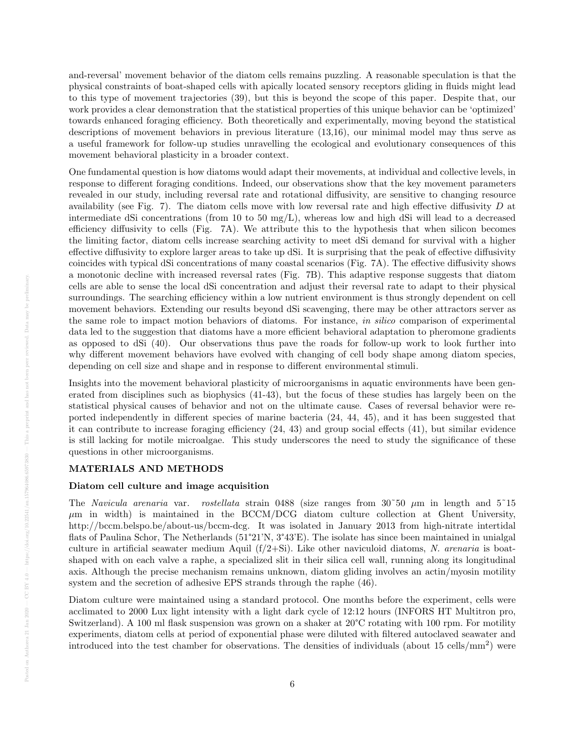and-reversal' movement behavior of the diatom cells remains puzzling. A reasonable speculation is that the physical constraints of boat-shaped cells with apically located sensory receptors gliding in fluids might lead to this type of movement trajectories (39), but this is beyond the scope of this paper. Despite that, our work provides a clear demonstration that the statistical properties of this unique behavior can be 'optimized' towards enhanced foraging efficiency. Both theoretically and experimentally, moving beyond the statistical descriptions of movement behaviors in previous literature (13,16), our minimal model may thus serve as a useful framework for follow-up studies unravelling the ecological and evolutionary consequences of this movement behavioral plasticity in a broader context.

One fundamental question is how diatoms would adapt their movements, at individual and collective levels, in response to different foraging conditions. Indeed, our observations show that the key movement parameters revealed in our study, including reversal rate and rotational diffusivity, are sensitive to changing resource availability (see Fig. 7). The diatom cells move with low reversal rate and high effective diffusivity  $D$  at intermediate dSi concentrations (from 10 to 50 mg/L), whereas low and high dSi will lead to a decreased efficiency diffusivity to cells (Fig. 7A). We attribute this to the hypothesis that when silicon becomes the limiting factor, diatom cells increase searching activity to meet dSi demand for survival with a higher effective diffusivity to explore larger areas to take up dSi. It is surprising that the peak of effective diffusivity coincides with typical dSi concentrations of many coastal scenarios (Fig. 7A). The effective diffusivity shows a monotonic decline with increased reversal rates (Fig. 7B). This adaptive response suggests that diatom cells are able to sense the local dSi concentration and adjust their reversal rate to adapt to their physical surroundings. The searching efficiency within a low nutrient environment is thus strongly dependent on cell movement behaviors. Extending our results beyond dSi scavenging, there may be other attractors server as the same role to impact motion behaviors of diatoms. For instance, in silico comparison of experimental data led to the suggestion that diatoms have a more efficient behavioral adaptation to pheromone gradients as opposed to dSi (40). Our observations thus pave the roads for follow-up work to look further into why different movement behaviors have evolved with changing of cell body shape among diatom species, depending on cell size and shape and in response to different environmental stimuli.

Insights into the movement behavioral plasticity of microorganisms in aquatic environments have been generated from disciplines such as biophysics (41-43), but the focus of these studies has largely been on the statistical physical causes of behavior and not on the ultimate cause. Cases of reversal behavior were reported independently in different species of marine bacteria (24, 44, 45), and it has been suggested that it can contribute to increase foraging efficiency (24, 43) and group social effects (41), but similar evidence is still lacking for motile microalgae. This study underscores the need to study the significance of these questions in other microorganisms.

#### MATERIALS AND METHODS

#### Diatom cell culture and image acquisition

The Navicula arenaria var. rostellata strain 0488 (size ranges from  $30^{\circ}50 \mu m$  in length and  $5^{\circ}15$  $\mu$ m in width) is maintained in the BCCM/DCG diatom culture collection at Ghent University, http://bccm.belspo.be/about-us/bccm-dcg. It was isolated in January 2013 from high-nitrate intertidal flats of Paulina Schor, The Netherlands (51°21'N, 3°43'E). The isolate has since been maintained in unialgal culture in artificial seawater medium Aquil  $(f/2+Si)$ . Like other naviculoid diatoms, N. arenaria is boatshaped with on each valve a raphe, a specialized slit in their silica cell wall, running along its longitudinal axis. Although the precise mechanism remains unknown, diatom gliding involves an actin/myosin motility system and the secretion of adhesive EPS strands through the raphe (46).

Diatom culture were maintained using a standard protocol. One months before the experiment, cells were acclimated to 2000 Lux light intensity with a light dark cycle of 12:12 hours (INFORS HT Multitron pro, Switzerland). A 100 ml flask suspension was grown on a shaker at 20°C rotating with 100 rpm. For motility experiments, diatom cells at period of exponential phase were diluted with filtered autoclaved seawater and introduced into the test chamber for observations. The densities of individuals (about  $15 \text{ cells/mm}^2$ ) were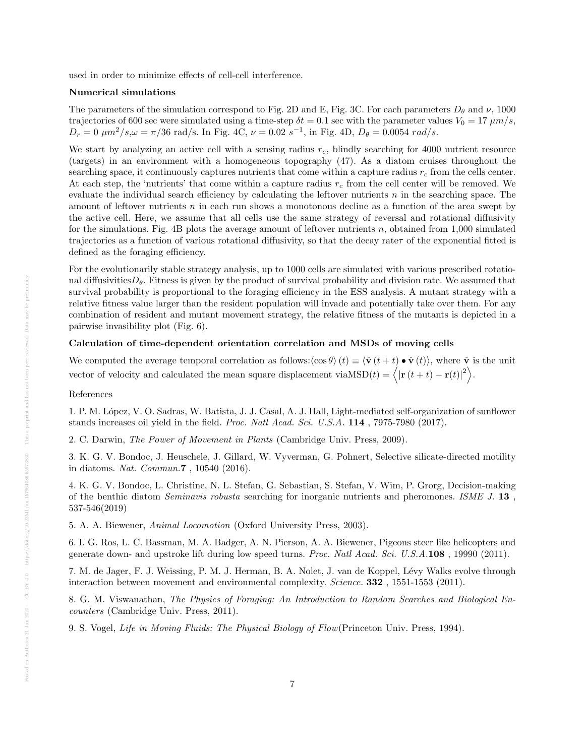used in order to minimize effects of cell-cell interference.

#### Numerical simulations

The parameters of the simulation correspond to Fig. 2D and E, Fig. 3C. For each parameters  $D_{\theta}$  and  $\nu$ , 1000 trajectories of 600 sec were simulated using a time-step  $\delta t = 0.1$  sec with the parameter values  $V_0 = 17 \ \mu m/s$ ,  $D_r = 0 \ \mu m^2/s, \omega = \pi/36 \text{ rad/s}.$  In Fig. 4C,  $\nu = 0.02 \ s^{-1}$ , in Fig. 4D,  $D_\theta = 0.0054 \ rad/s.$ 

We start by analyzing an active cell with a sensing radius  $r_c$ , blindly searching for 4000 nutrient resource (targets) in an environment with a homogeneous topography (47). As a diatom cruises throughout the searching space, it continuously captures nutrients that come within a capture radius  $r_c$  from the cells center. At each step, the 'nutrients' that come within a capture radius  $r_c$  from the cell center will be removed. We evaluate the individual search efficiency by calculating the leftover nutrients n in the searching space. The amount of leftover nutrients n in each run shows a monotonous decline as a function of the area swept by the active cell. Here, we assume that all cells use the same strategy of reversal and rotational diffusivity for the simulations. Fig. 4B plots the average amount of leftover nutrients n, obtained from  $1,000$  simulated trajectories as a function of various rotational diffusivity, so that the decay rater of the exponential fitted is defined as the foraging efficiency.

For the evolutionarily stable strategy analysis, up to 1000 cells are simulated with various prescribed rotational diffusivities $D_{\theta}$ . Fitness is given by the product of survival probability and division rate. We assumed that survival probability is proportional to the foraging efficiency in the ESS analysis. A mutant strategy with a relative fitness value larger than the resident population will invade and potentially take over them. For any combination of resident and mutant movement strategy, the relative fitness of the mutants is depicted in a pairwise invasibility plot (Fig. 6).

## Calculation of time-dependent orientation correlation and MSDs of moving cells

We computed the average temporal correlation as follows: $\langle \cos \theta \rangle(t) \equiv \langle \hat{\mathbf{v}}(t + t) \bullet \hat{\mathbf{v}}(t) \rangle$ , where  $\hat{\mathbf{v}}$  is the unit vector of velocity and calculated the mean square displacement via  $\text{MSD}(t) = \langle |\mathbf{r}(t + t) - \mathbf{r}(t)|^2 \rangle$ .

#### References

1. P. M. López, V. O. Sadras, W. Batista, J. J. Casal, A. J. Hall, Light-mediated self-organization of sunflower stands increases oil yield in the field. Proc. Natl Acad. Sci. U.S.A. 114 , 7975-7980 (2017).

2. C. Darwin, The Power of Movement in Plants (Cambridge Univ. Press, 2009).

3. K. G. V. Bondoc, J. Heuschele, J. Gillard, W. Vyverman, G. Pohnert, Selective silicate-directed motility in diatoms. Nat. Commun.7 , 10540 (2016).

4. K. G. V. Bondoc, L. Christine, N. L. Stefan, G. Sebastian, S. Stefan, V. Wim, P. Grorg, Decision-making of the benthic diatom Seminavis robusta searching for inorganic nutrients and pheromones. ISME J. 13 , 537-546(2019)

5. A. A. Biewener, Animal Locomotion (Oxford University Press, 2003).

6. I. G. Ros, L. C. Bassman, M. A. Badger, A. N. Pierson, A. A. Biewener, Pigeons steer like helicopters and generate down- and upstroke lift during low speed turns. Proc. Natl Acad. Sci. U.S.A.108 , 19990 (2011).

7. M. de Jager, F. J. Weissing, P. M. J. Herman, B. A. Nolet, J. van de Koppel, L´evy Walks evolve through interaction between movement and environmental complexity. Science. 332, 1551-1553 (2011).

8. G. M. Viswanathan, The Physics of Foraging: An Introduction to Random Searches and Biological Encounters (Cambridge Univ. Press, 2011).

9. S. Vogel, Life in Moving Fluids: The Physical Biology of Flow(Princeton Univ. Press, 1994).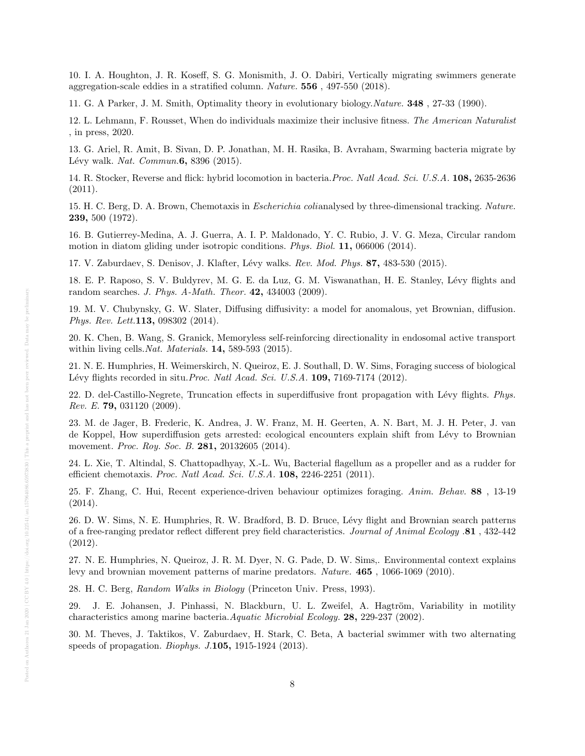10. I. A. Houghton, J. R. Koseff, S. G. Monismith, J. O. Dabiri, Vertically migrating swimmers generate aggregation-scale eddies in a stratified column. Nature. 556 , 497-550 (2018).

11. G. A Parker, J. M. Smith, Optimality theory in evolutionary biology.Nature. 348 , 27-33 (1990).

12. L. Lehmann, F. Rousset, When do individuals maximize their inclusive fitness. The American Naturalist , in press, 2020.

13. G. Ariel, R. Amit, B. Sivan, D. P. Jonathan, M. H. Rasika, B. Avraham, Swarming bacteria migrate by Lévy walk. Nat. Commun.  $6, 8396$  (2015).

14. R. Stocker, Reverse and flick: hybrid locomotion in bacteria.Proc. Natl Acad. Sci. U.S.A. 108, 2635-2636 (2011).

15. H. C. Berg, D. A. Brown, Chemotaxis in Escherichia colianalysed by three-dimensional tracking. Nature. 239, 500 (1972).

16. B. Gutierrey-Medina, A. J. Guerra, A. I. P. Maldonado, Y. C. Rubio, J. V. G. Meza, Circular random motion in diatom gliding under isotropic conditions. Phys. Biol. 11, 066006 (2014).

17. V. Zaburdaev, S. Denisov, J. Klafter, Lévy walks. Rev. Mod. Phys. 87, 483-530 (2015).

18. E. P. Raposo, S. V. Buldyrev, M. G. E. da Luz, G. M. Viswanathan, H. E. Stanley, Lévy flights and random searches. J. Phys. A-Math. Theor. 42, 434003 (2009).

19. M. V. Chubynsky, G. W. Slater, Diffusing diffusivity: a model for anomalous, yet Brownian, diffusion. Phys. Rev. Lett.113, 098302 (2014).

20. K. Chen, B. Wang, S. Granick, Memoryless self-reinforcing directionality in endosomal active transport within living cells. Nat. Materials. 14, 589-593 (2015).

21. N. E. Humphries, H. Weimerskirch, N. Queiroz, E. J. Southall, D. W. Sims, Foraging success of biological Lévy flights recorded in situ. Proc. Natl Acad. Sci. U.S.A.  $109$ , 7169-7174 (2012).

22. D. del-Castillo-Negrete, Truncation effects in superdiffusive front propagation with Lévy flights. Phys. Rev. E. 79, 031120 (2009).

23. M. de Jager, B. Frederic, K. Andrea, J. W. Franz, M. H. Geerten, A. N. Bart, M. J. H. Peter, J. van de Koppel, How superdiffusion gets arrested: ecological encounters explain shift from Lévy to Brownian movement. *Proc. Roy. Soc. B.* 281, 20132605 (2014).

24. L. Xie, T. Altindal, S. Chattopadhyay, X.-L. Wu, Bacterial flagellum as a propeller and as a rudder for efficient chemotaxis. Proc. Natl Acad. Sci. U.S.A. 108, 2246-2251 (2011).

25. F. Zhang, C. Hui, Recent experience-driven behaviour optimizes foraging. Anim. Behav. 88 , 13-19 (2014).

26. D. W. Sims, N. E. Humphries, R. W. Bradford, B. D. Bruce, L´evy flight and Brownian search patterns of a free-ranging predator reflect different prey field characteristics. Journal of Animal Ecology .81 , 432-442 (2012).

27. N. E. Humphries, N. Queiroz, J. R. M. Dyer, N. G. Pade, D. W. Sims,. Environmental context explains levy and brownian movement patterns of marine predators. Nature. 465 , 1066-1069 (2010).

28. H. C. Berg, Random Walks in Biology (Princeton Univ. Press, 1993).

29. J. E. Johansen, J. Pinhassi, N. Blackburn, U. L. Zweifel, A. Hagtröm, Variability in motility characteristics among marine bacteria.Aquatic Microbial Ecology. 28, 229-237 (2002).

30. M. Theves, J. Taktikos, V. Zaburdaev, H. Stark, C. Beta, A bacterial swimmer with two alternating speeds of propagation. Biophys. J.105, 1915-1924 (2013).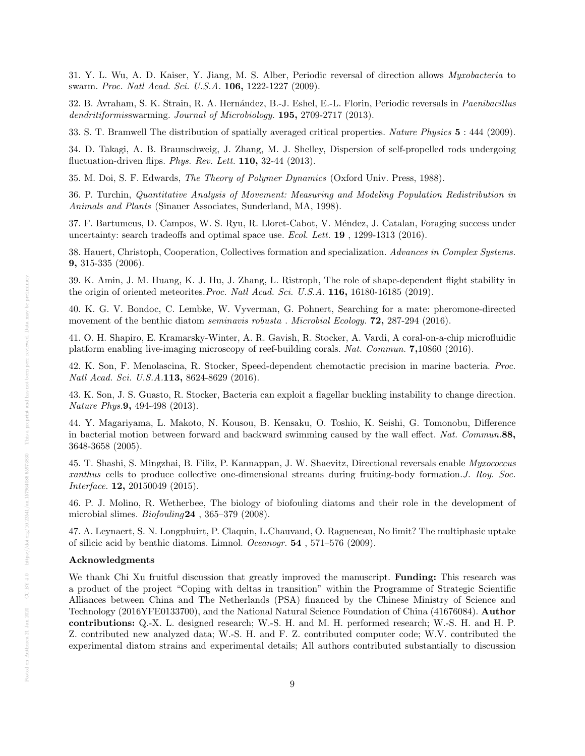31. Y. L. Wu, A. D. Kaiser, Y. Jiang, M. S. Alber, Periodic reversal of direction allows Myxobacteria to swarm. Proc. Natl Acad. Sci. U.S.A. 106, 1222-1227 (2009).

32. B. Avraham, S. K. Strain, R. A. Hern´andez, B.-J. Eshel, E.-L. Florin, Periodic reversals in Paenibacillus dendritiformisswarming. Journal of Microbiology. **195,** 2709-2717 (2013).

33. S. T. Bramwell The distribution of spatially averaged critical properties. Nature Physics 5 : 444 (2009).

34. D. Takagi, A. B. Braunschweig, J. Zhang, M. J. Shelley, Dispersion of self-propelled rods undergoing fluctuation-driven flips. *Phys. Rev. Lett.* **110**,  $32-44$  (2013).

35. M. Doi, S. F. Edwards, The Theory of Polymer Dynamics (Oxford Univ. Press, 1988).

36. P. Turchin, Quantitative Analysis of Movement: Measuring and Modeling Population Redistribution in Animals and Plants (Sinauer Associates, Sunderland, MA, 1998).

37. F. Bartumeus, D. Campos, W. S. Ryu, R. Lloret-Cabot, V. M´endez, J. Catalan, Foraging success under uncertainty: search tradeoffs and optimal space use. Ecol. Lett. 19 , 1299-1313 (2016).

38. Hauert, Christoph, Cooperation, Collectives formation and specialization. Advances in Complex Systems. 9, 315-335 (2006).

39. K. Amin, J. M. Huang, K. J. Hu, J. Zhang, L. Ristroph, The role of shape-dependent flight stability in the origin of oriented meteorites. Proc. Natl Acad. Sci. U.S.A. 116, 16180-16185 (2019).

40. K. G. V. Bondoc, C. Lembke, W. Vyverman, G. Pohnert, Searching for a mate: pheromone-directed movement of the benthic diatom *seminavis robusta. Microbial Ecology*. **72**, 287-294 (2016).

41. O. H. Shapiro, E. Kramarsky-Winter, A. R. Gavish, R. Stocker, A. Vardi, A coral-on-a-chip microfluidic platform enabling live-imaging microscopy of reef-building corals. Nat. Commun. 7,10860 (2016).

42. K. Son, F. Menolascina, R. Stocker, Speed-dependent chemotactic precision in marine bacteria. Proc. Natl Acad. Sci. U.S.A.113, 8624-8629 (2016).

43. K. Son, J. S. Guasto, R. Stocker, Bacteria can exploit a flagellar buckling instability to change direction. Nature Phys.9, 494-498 (2013).

44. Y. Magariyama, L. Makoto, N. Kousou, B. Kensaku, O. Toshio, K. Seishi, G. Tomonobu, Difference in bacterial motion between forward and backward swimming caused by the wall effect. Nat. Commun.88, 3648-3658 (2005).

45. T. Shashi, S. Mingzhai, B. Filiz, P. Kannappan, J. W. Shaevitz, Directional reversals enable Myxococcus xanthus cells to produce collective one-dimensional streams during fruiting-body formation.J. Roy. Soc. Interface. 12, 20150049 (2015).

46. P. J. Molino, R. Wetherbee, The biology of biofouling diatoms and their role in the development of microbial slimes. *Biofouling*24, 365-379 (2008).

47. A. Leynaert, S. N. Longphuirt, P. Claquin, L.Chauvaud, O. Ragueneau, No limit? The multiphasic uptake of silicic acid by benthic diatoms. Limnol. Oceanogr. 54 , 571–576 (2009).

## Acknowledgments

We thank Chi Xu fruitful discussion that greatly improved the manuscript. **Funding:** This research was a product of the project "Coping with deltas in transition" within the Programme of Strategic Scientific Alliances between China and The Netherlands (PSA) financed by the Chinese Ministry of Science and Technology (2016YFE0133700), and the National Natural Science Foundation of China (41676084). Author contributions: Q.-X. L. designed research; W.-S. H. and M. H. performed research; W.-S. H. and H. P. Z. contributed new analyzed data; W.-S. H. and F. Z. contributed computer code; W.V. contributed the experimental diatom strains and experimental details; All authors contributed substantially to discussion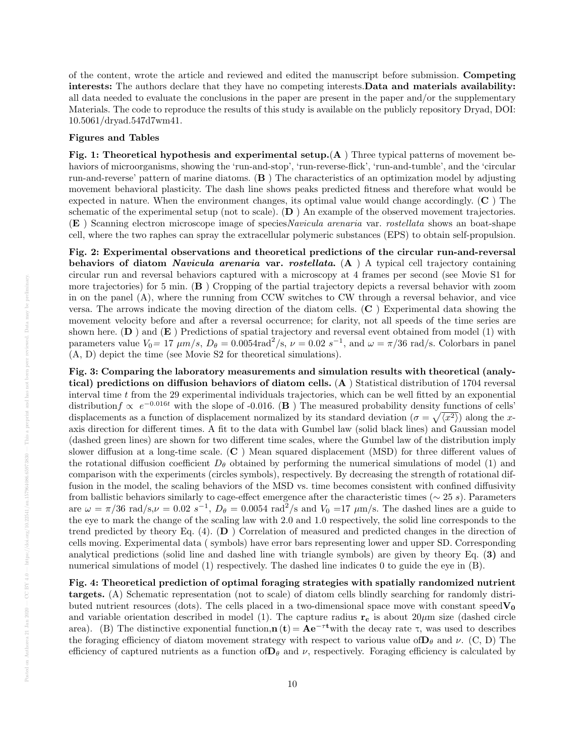of the content, wrote the article and reviewed and edited the manuscript before submission. Competing interests: The authors declare that they have no competing interests. Data and materials availability: all data needed to evaluate the conclusions in the paper are present in the paper and/or the supplementary Materials. The code to reproduce the results of this study is available on the publicly repository Dryad, DOI: 10.5061/dryad.547d7wm41.

#### Figures and Tables

Fig. 1: Theoretical hypothesis and experimental setup.(A ) Three typical patterns of movement behaviors of microorganisms, showing the 'run-and-stop', 'run-reverse-flick', 'run-and-tumble', and the 'circular run-and-reverse' pattern of marine diatoms.  $(B)$  The characteristics of an optimization model by adjusting movement behavioral plasticity. The dash line shows peaks predicted fitness and therefore what would be expected in nature. When the environment changes, its optimal value would change accordingly. (C ) The schematic of the experimental setup (not to scale).  $(D)$  An example of the observed movement trajectories. (E ) Scanning electron microscope image of speciesNavicula arenaria var. rostellata shows an boat-shape cell, where the two raphes can spray the extracellular polymeric substances (EPS) to obtain self-propulsion.

Fig. 2: Experimental observations and theoretical predictions of the circular run-and-reversal behaviors of diatom *Navicula arenaria* var. *rostellata.*  $(A)$  A typical cell trajectory containing circular run and reversal behaviors captured with a microscopy at 4 frames per second (see Movie S1 for more trajectories) for 5 min. (B ) Cropping of the partial trajectory depicts a reversal behavior with zoom in on the panel (A), where the running from CCW switches to CW through a reversal behavior, and vice versa. The arrows indicate the moving direction of the diatom cells. (C ) Experimental data showing the movement velocity before and after a reversal occurrence; for clarity, not all speeds of the time series are shown here.  $(D)$  and  $(E)$  Predictions of spatial trajectory and reversal event obtained from model (1) with parameters value  $V_0 = 17 \ \mu m/s$ ,  $D_\theta = 0.0054 \text{rad}^2/\text{s}$ ,  $\nu = 0.02 \ s^{-1}$ , and  $\omega = \pi/36 \text{ rad/s}$ . Colorbars in panel (A, D) depict the time (see Movie S2 for theoretical simulations).

Fig. 3: Comparing the laboratory measurements and simulation results with theoretical (analytical) predictions on diffusion behaviors of diatom cells. (A ) Statistical distribution of 1704 reversal interval time t from the 29 experimental individuals trajectories, which can be well fitted by an exponential distribution  $f \propto e^{-0.016t}$  with the slope of -0.016. (B) The measured probability density functions of cells' displacements as a function of displacement normalized by its standard deviation  $(\sigma = \sqrt{\langle x^2 \rangle})$  along the xaxis direction for different times. A fit to the data with Gumbel law (solid black lines) and Gaussian model (dashed green lines) are shown for two different time scales, where the Gumbel law of the distribution imply slower diffusion at a long-time scale. (C ) Mean squared displacement (MSD) for three different values of the rotational diffusion coefficient  $D_{\theta}$  obtained by performing the numerical simulations of model (1) and comparison with the experiments (circles symbols), respectively. By decreasing the strength of rotational diffusion in the model, the scaling behaviors of the MSD vs. time becomes consistent with confined diffusivity from ballistic behaviors similarly to cage-effect emergence after the characteristic times ( $\sim 25 s$ ). Parameters are  $\omega = \pi/36$  rad/s, $\nu = 0.02 s^{-1}$ ,  $D_{\theta} = 0.0054$  rad<sup>2</sup>/s and  $V_0 = 17 \mu \text{m/s}$ . The dashed lines are a guide to the eye to mark the change of the scaling law with 2.0 and 1.0 respectively, the solid line corresponds to the trend predicted by theory Eq. (4). (D ) Correlation of measured and predicted changes in the direction of cells moving. Experimental data ( symbols) have error bars representing lower and upper SD. Corresponding analytical predictions (solid line and dashed line with triangle symbols) are given by theory Eq. (3) and numerical simulations of model (1) respectively. The dashed line indicates 0 to guide the eye in  $(B)$ .

Fig. 4: Theoretical prediction of optimal foraging strategies with spatially randomized nutrient targets. (A) Schematic representation (not to scale) of diatom cells blindly searching for randomly distributed nutrient resources (dots). The cells placed in a two-dimensional space move with constant speed $V_0$ and variable orientation described in model (1). The capture radius  $\mathbf{r_c}$  is about 20 $\mu$ m size (dashed circle area). (B) The distinctive exponential function,  $n(t) = Ae^{-\tau t}$  with the decay rate  $\tau$ , was used to describes the foraging efficiency of diatom movement strategy with respect to various value of  $D_{\theta}$  and  $\nu$ . (C, D) The efficiency of captured nutrients as a function of  $\mathbf{D}_{\theta}$  and  $\nu$ , respectively. Foraging efficiency is calculated by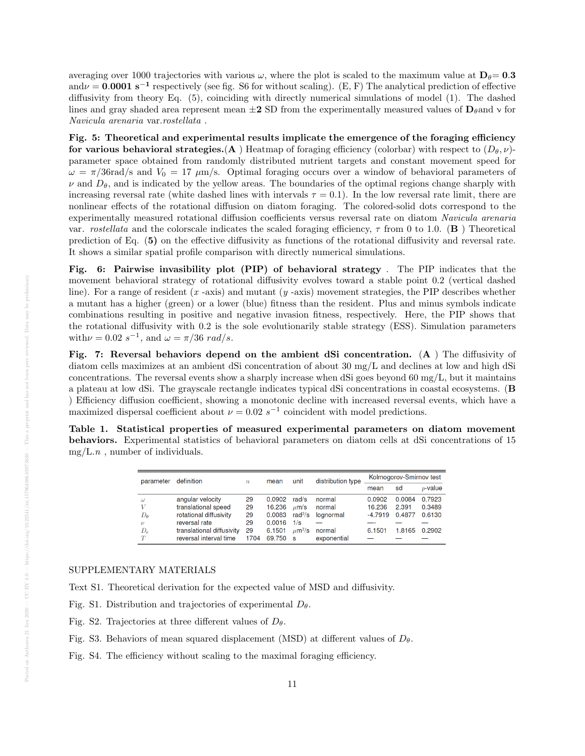averaging over 1000 trajectories with various  $\omega$ , where the plot is scaled to the maximum value at  $D_{\theta}= 0.3$ and $\nu = 0.0001 \text{ s}^{-1}$  respectively (see fig. S6 for without scaling). (E, F) The analytical prediction of effective diffusivity from theory Eq. (5), coinciding with directly numerical simulations of model (1). The dashed lines and gray shaded area represent mean  $\pm 2$  SD from the experimentally measured values of  $D_\theta$  and  $\nu$  for Navicula arenaria var.rostellata .

Fig. 5: Theoretical and experimental results implicate the emergence of the foraging efficiency for various behavioral strategies.(A) Heatmap of foraging efficiency (colorbar) with respect to  $(D_\theta, \nu)$ parameter space obtained from randomly distributed nutrient targets and constant movement speed for  $\omega = \pi/36$ rad/s and  $V_0 = 17 \mu m/s$ . Optimal foraging occurs over a window of behavioral parameters of  $\nu$  and  $D_{\theta}$ , and is indicated by the yellow areas. The boundaries of the optimal regions change sharply with increasing reversal rate (white dashed lines with intervals  $\tau = 0.1$ ). In the low reversal rate limit, there are nonlinear effects of the rotational diffusion on diatom foraging. The colored-solid dots correspond to the experimentally measured rotational diffusion coefficients versus reversal rate on diatom Navicula arenaria var. rostellata and the colorscale indicates the scaled foraging efficiency,  $\tau$  from 0 to 1.0. (**B**) Theoretical prediction of Eq. (5) on the effective diffusivity as functions of the rotational diffusivity and reversal rate. It shows a similar spatial profile comparison with directly numerical simulations.

Fig. 6: Pairwise invasibility plot (PIP) of behavioral strategy . The PIP indicates that the movement behavioral strategy of rotational diffusivity evolves toward a stable point 0.2 (vertical dashed line). For a range of resident (x -axis) and mutant (y -axis) movement strategies, the PIP describes whether a mutant has a higher (green) or a lower (blue) fitness than the resident. Plus and minus symbols indicate combinations resulting in positive and negative invasion fitness, respectively. Here, the PIP shows that the rotational diffusivity with 0.2 is the sole evolutionarily stable strategy (ESS). Simulation parameters with  $\nu = 0.02 s^{-1}$ , and  $\omega = \pi/36 \text{ rad/s}$ .

Fig. 7: Reversal behaviors depend on the ambient dSi concentration. (A ) The diffusivity of diatom cells maximizes at an ambient dSi concentration of about 30 mg/L and declines at low and high dSi concentrations. The reversal events show a sharply increase when dSi goes beyond  $60 \text{ mg/L}$ , but it maintains a plateau at low dSi. The grayscale rectangle indicates typical dSi concentrations in coastal ecosystems. (B ) Efficiency diffusion coefficient, showing a monotonic decline with increased reversal events, which have a maximized dispersal coefficient about  $\nu = 0.02 s^{-1}$  coincident with model predictions.

Table 1. Statistical properties of measured experimental parameters on diatom movement behaviors. Experimental statistics of behavioral parameters on diatom cells at dSi concentrations of 15  $mg/L.n$ , number of individuals.

| parameter          | definition                | $\boldsymbol{n}$ | mean   | unit                    | distribution type | Kolmogorov-Smirnov test |        |            |
|--------------------|---------------------------|------------------|--------|-------------------------|-------------------|-------------------------|--------|------------|
|                    |                           |                  |        |                         |                   | mean                    | sd     | $p$ -value |
| $\omega$           | angular velocity          | 29               | 0.0902 | rad/s                   | normal            | 0.0902                  | 0.0084 | 0.7923     |
| V                  | translational speed       | 29               | 16.236 | $\mu$ m/s               | normal            | 16.236                  | 2.391  | 0.3489     |
| $D_{\theta}$       | rotational diffusivity    | 29               | 0.0083 | rad $\frac{2}{s}$       | lognormal         | $-4.7919$               | 0.4877 | 0.6130     |
| $\boldsymbol{\nu}$ | reversal rate             | 29               | 0.0016 | 1/s                     |                   |                         |        |            |
| $D_r$              | translational diffusivity | 29               | 6.1501 | $\mu$ m <sup>2</sup> /s | normal            | 6.1501                  | 1.8165 | 0.2902     |
| T                  | reversal interval time    | 1704             | 69.750 | - S                     | exponential       |                         |        |            |

#### SUPPLEMENTARY MATERIALS

Text S1. Theoretical derivation for the expected value of MSD and diffusivity.

Fig. S1. Distribution and trajectories of experimental  $D_{\theta}$ .

- Fig. S2. Trajectories at three different values of  $D_{\theta}$ .
- Fig. S3. Behaviors of mean squared displacement (MSD) at different values of  $D_{\theta}$ .

Fig. S4. The efficiency without scaling to the maximal foraging efficiency.